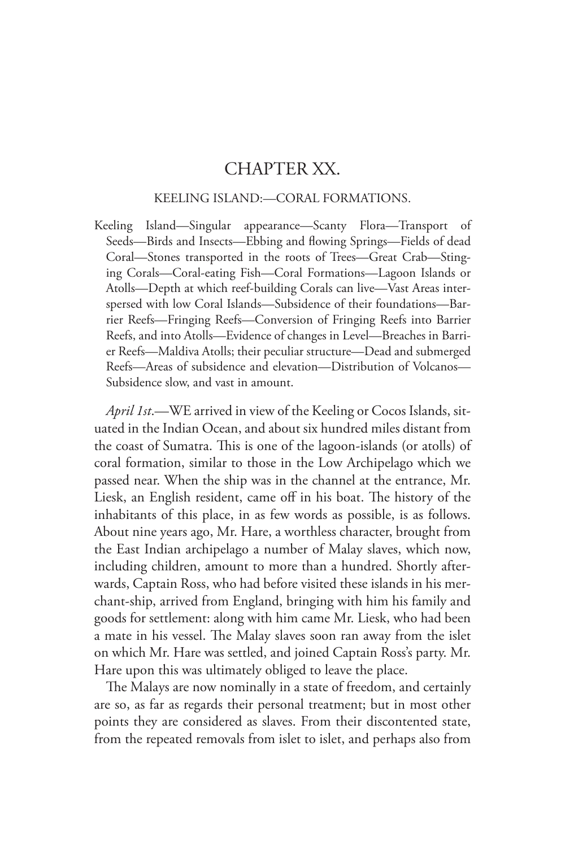## CHAPTER XX.

## KEELING ISLAND:—CORAL FORMATIONS.

Keeling Island—Singular appearance—Scanty Flora—Transport of Seeds—Birds and Insects—Ebbing and flowing Springs—Fields of dead Coral—Stones transported in the roots of Trees—Great Crab—Stinging Corals—Coral-eating Fish—Coral Formations—Lagoon Islands or Atolls—Depth at which reef-building Corals can live—Vast Areas interspersed with low Coral Islands—Subsidence of their foundations—Barrier Reefs—Fringing Reefs—Conversion of Fringing Reefs into Barrier Reefs, and into Atolls—Evidence of changes in Level—Breaches in Barrier Reefs—Maldiva Atolls; their peculiar structure—Dead and submerged Reefs—Areas of subsidence and elevation—Distribution of Volcanos— Subsidence slow, and vast in amount.

*April 1st*.—WE arrived in view of the Keeling or Cocos Islands, situated in the Indian Ocean, and about six hundred miles distant from the coast of Sumatra. This is one of the lagoon-islands (or atolls) of coral formation, similar to those in the Low Archipelago which we passed near. When the ship was in the channel at the entrance, Mr. Liesk, an English resident, came off in his boat. The history of the inhabitants of this place, in as few words as possible, is as follows. About nine years ago, Mr. Hare, a worthless character, brought from the East Indian archipelago a number of Malay slaves, which now, including children, amount to more than a hundred. Shortly afterwards, Captain Ross, who had before visited these islands in his merchant-ship, arrived from England, bringing with him his family and goods for settlement: along with him came Mr. Liesk, who had been a mate in his vessel. The Malay slaves soon ran away from the islet on which Mr. Hare was settled, and joined Captain Ross's party. Mr. Hare upon this was ultimately obliged to leave the place.

The Malays are now nominally in a state of freedom, and certainly are so, as far as regards their personal treatment; but in most other points they are considered as slaves. From their discontented state, from the repeated removals from islet to islet, and perhaps also from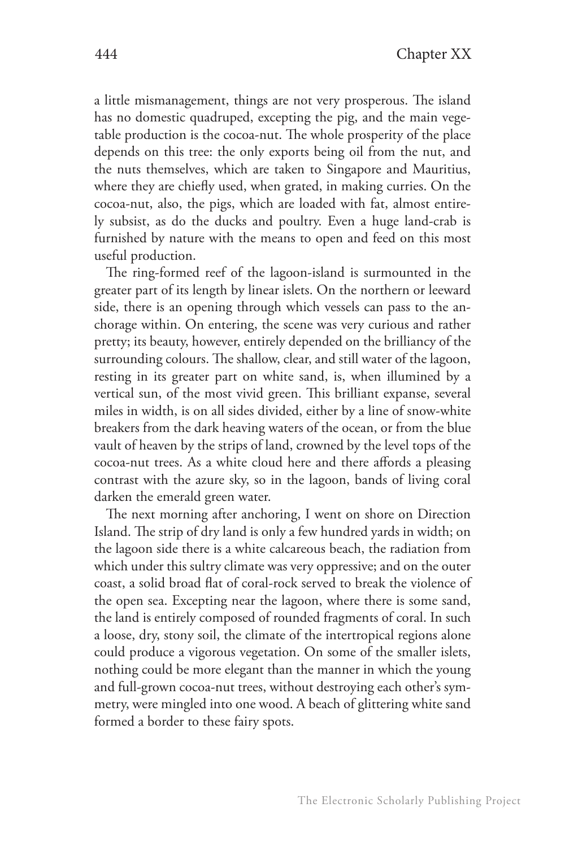a little mismanagement, things are not very prosperous. The island has no domestic quadruped, excepting the pig, and the main vegetable production is the cocoa-nut. The whole prosperity of the place depends on this tree: the only exports being oil from the nut, and the nuts themselves, which are taken to Singapore and Mauritius, where they are chiefly used, when grated, in making curries. On the cocoa-nut, also, the pigs, which are loaded with fat, almost entirely subsist, as do the ducks and poultry. Even a huge land-crab is furnished by nature with the means to open and feed on this most useful production.

The ring-formed reef of the lagoon-island is surmounted in the greater part of its length by linear islets. On the northern or leeward side, there is an opening through which vessels can pass to the anchorage within. On entering, the scene was very curious and rather pretty; its beauty, however, entirely depended on the brilliancy of the surrounding colours. The shallow, clear, and still water of the lagoon, resting in its greater part on white sand, is, when illumined by a vertical sun, of the most vivid green. This brilliant expanse, several miles in width, is on all sides divided, either by a line of snow-white breakers from the dark heaving waters of the ocean, or from the blue vault of heaven by the strips of land, crowned by the level tops of the cocoa-nut trees. As a white cloud here and there affords a pleasing contrast with the azure sky, so in the lagoon, bands of living coral darken the emerald green water.

The next morning after anchoring, I went on shore on Direction Island. The strip of dry land is only a few hundred yards in width; on the lagoon side there is a white calcareous beach, the radiation from which under this sultry climate was very oppressive; and on the outer coast, a solid broad flat of coral-rock served to break the violence of the open sea. Excepting near the lagoon, where there is some sand, the land is entirely composed of rounded fragments of coral. In such a loose, dry, stony soil, the climate of the intertropical regions alone could produce a vigorous vegetation. On some of the smaller islets, nothing could be more elegant than the manner in which the young and full-grown cocoa-nut trees, without destroying each other's symmetry, were mingled into one wood. A beach of glittering white sand formed a border to these fairy spots.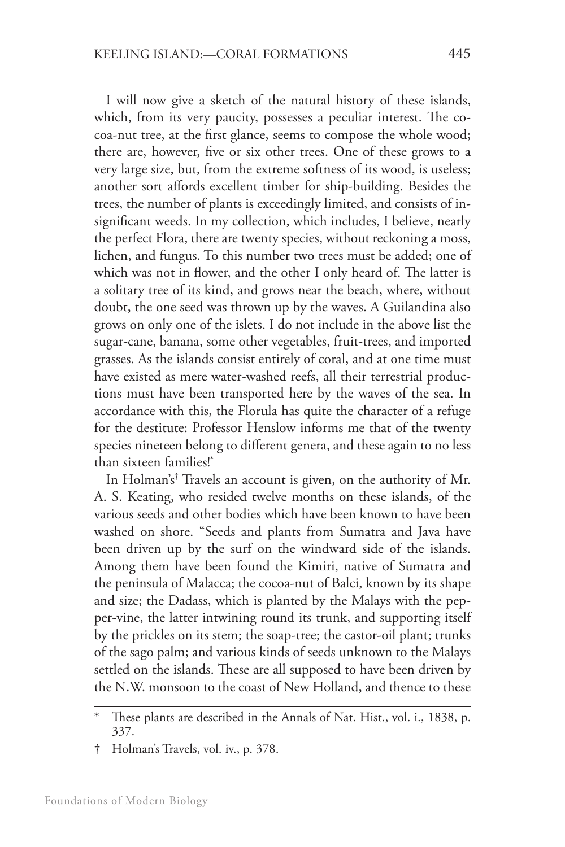I will now give a sketch of the natural history of these islands, which, from its very paucity, possesses a peculiar interest. The cocoa-nut tree, at the first glance, seems to compose the whole wood; there are, however, five or six other trees. One of these grows to a very large size, but, from the extreme softness of its wood, is useless; another sort affords excellent timber for ship-building. Besides the trees, the number of plants is exceedingly limited, and consists of insignificant weeds. In my collection, which includes, I believe, nearly the perfect Flora, there are twenty species, without reckoning a moss, lichen, and fungus. To this number two trees must be added; one of which was not in flower, and the other I only heard of. The latter is a solitary tree of its kind, and grows near the beach, where, without doubt, the one seed was thrown up by the waves. A Guilandina also grows on only one of the islets. I do not include in the above list the sugar-cane, banana, some other vegetables, fruit-trees, and imported grasses. As the islands consist entirely of coral, and at one time must have existed as mere water-washed reefs, all their terrestrial productions must have been transported here by the waves of the sea. In accordance with this, the Florula has quite the character of a refuge for the destitute: Professor Henslow informs me that of the twenty species nineteen belong to different genera, and these again to no less than sixteen families!\*

In Holman's† Travels an account is given, on the authority of Mr. A. S. Keating, who resided twelve months on these islands, of the various seeds and other bodies which have been known to have been washed on shore. "Seeds and plants from Sumatra and Java have been driven up by the surf on the windward side of the islands. Among them have been found the Kimiri, native of Sumatra and the peninsula of Malacca; the cocoa-nut of Balci, known by its shape and size; the Dadass, which is planted by the Malays with the pepper-vine, the latter intwining round its trunk, and supporting itself by the prickles on its stem; the soap-tree; the castor-oil plant; trunks of the sago palm; and various kinds of seeds unknown to the Malays settled on the islands. These are all supposed to have been driven by the N.W. monsoon to the coast of New Holland, and thence to these

These plants are described in the Annals of Nat. Hist., vol. i., 1838, p. 337.

<sup>†</sup> Holman's Travels, vol. iv., p. 378.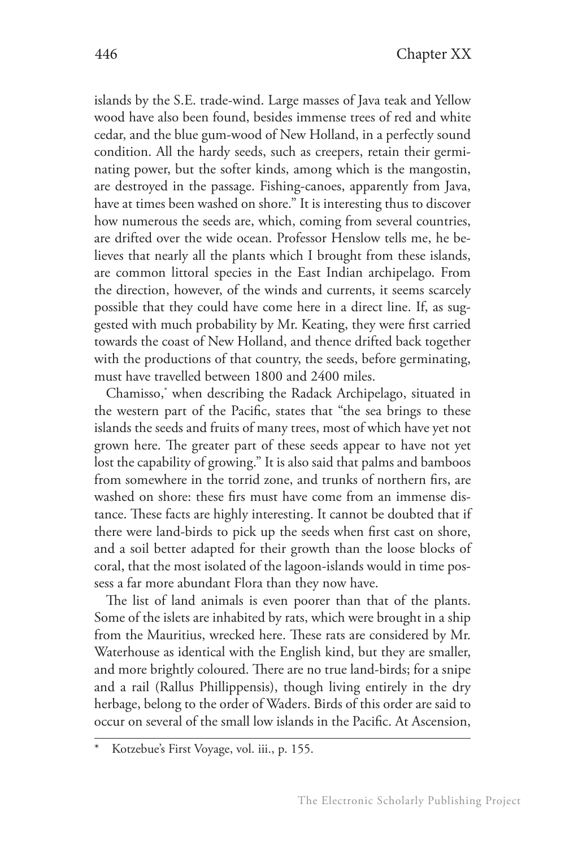islands by the S.E. trade-wind. Large masses of Java teak and Yellow wood have also been found, besides immense trees of red and white cedar, and the blue gum-wood of New Holland, in a perfectly sound condition. All the hardy seeds, such as creepers, retain their germinating power, but the softer kinds, among which is the mangostin, are destroyed in the passage. Fishing-canoes, apparently from Java, have at times been washed on shore." It is interesting thus to discover how numerous the seeds are, which, coming from several countries, are drifted over the wide ocean. Professor Henslow tells me, he believes that nearly all the plants which I brought from these islands, are common littoral species in the East Indian archipelago. From the direction, however, of the winds and currents, it seems scarcely possible that they could have come here in a direct line. If, as suggested with much probability by Mr. Keating, they were first carried towards the coast of New Holland, and thence drifted back together with the productions of that country, the seeds, before germinating, must have travelled between 1800 and 2400 miles.

Chamisso,\* when describing the Radack Archipelago, situated in the western part of the Pacific, states that "the sea brings to these islands the seeds and fruits of many trees, most of which have yet not grown here. The greater part of these seeds appear to have not yet lost the capability of growing." It is also said that palms and bamboos from somewhere in the torrid zone, and trunks of northern firs, are washed on shore: these firs must have come from an immense distance. These facts are highly interesting. It cannot be doubted that if there were land-birds to pick up the seeds when first cast on shore, and a soil better adapted for their growth than the loose blocks of coral, that the most isolated of the lagoon-islands would in time possess a far more abundant Flora than they now have.

The list of land animals is even poorer than that of the plants. Some of the islets are inhabited by rats, which were brought in a ship from the Mauritius, wrecked here. These rats are considered by Mr. Waterhouse as identical with the English kind, but they are smaller, and more brightly coloured. There are no true land-birds; for a snipe and a rail (Rallus Phillippensis), though living entirely in the dry herbage, belong to the order of Waders. Birds of this order are said to occur on several of the small low islands in the Pacific. At Ascension,

Kotzebue's First Voyage, vol. iii., p. 155.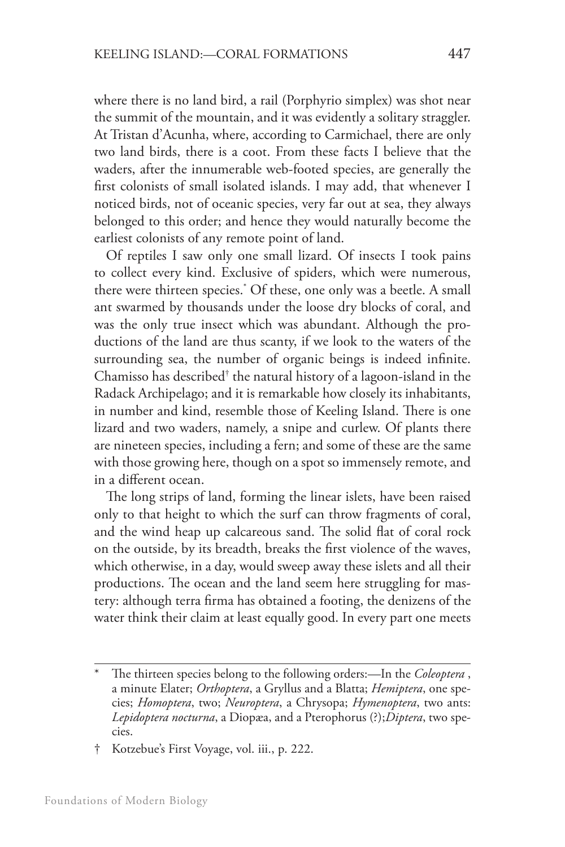where there is no land bird, a rail (Porphyrio simplex) was shot near the summit of the mountain, and it was evidently a solitary straggler. At Tristan d'Acunha, where, according to Carmichael, there are only two land birds, there is a coot. From these facts I believe that the waders, after the innumerable web-footed species, are generally the first colonists of small isolated islands. I may add, that whenever I noticed birds, not of oceanic species, very far out at sea, they always belonged to this order; and hence they would naturally become the earliest colonists of any remote point of land.

Of reptiles I saw only one small lizard. Of insects I took pains to collect every kind. Exclusive of spiders, which were numerous, there were thirteen species.\* Of these, one only was a beetle. A small ant swarmed by thousands under the loose dry blocks of coral, and was the only true insect which was abundant. Although the productions of the land are thus scanty, if we look to the waters of the surrounding sea, the number of organic beings is indeed infinite. Chamisso has described† the natural history of a lagoon-island in the Radack Archipelago; and it is remarkable how closely its inhabitants, in number and kind, resemble those of Keeling Island. There is one lizard and two waders, namely, a snipe and curlew. Of plants there are nineteen species, including a fern; and some of these are the same with those growing here, though on a spot so immensely remote, and in a different ocean.

The long strips of land, forming the linear islets, have been raised only to that height to which the surf can throw fragments of coral, and the wind heap up calcareous sand. The solid flat of coral rock on the outside, by its breadth, breaks the first violence of the waves, which otherwise, in a day, would sweep away these islets and all their productions. The ocean and the land seem here struggling for mastery: although terra firma has obtained a footing, the denizens of the water think their claim at least equally good. In every part one meets

<sup>\*</sup> The thirteen species belong to the following orders:—In the *Coleoptera* , a minute Elater; *Orthoptera*, a Gryllus and a Blatta; *Hemiptera*, one species; *Homoptera*, two; *Neuroptera*, a Chrysopa; *Hymenoptera*, two ants: *Lepidoptera nocturna*, a Diopæa, and a Pterophorus (?);*Diptera*, two species.

<sup>†</sup> Kotzebue's First Voyage, vol. iii., p. 222.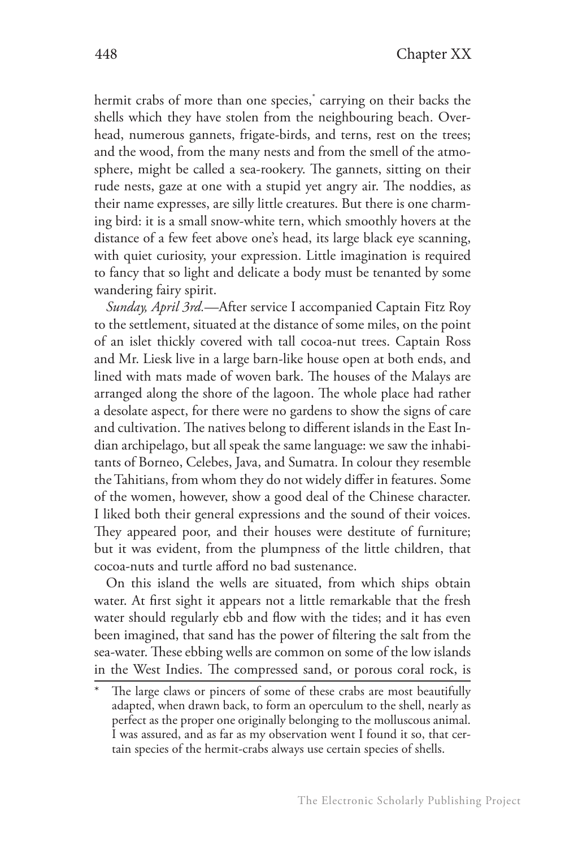hermit crabs of more than one species,\* carrying on their backs the shells which they have stolen from the neighbouring beach. Overhead, numerous gannets, frigate-birds, and terns, rest on the trees; and the wood, from the many nests and from the smell of the atmosphere, might be called a sea-rookery. The gannets, sitting on their rude nests, gaze at one with a stupid yet angry air. The noddies, as their name expresses, are silly little creatures. But there is one charming bird: it is a small snow-white tern, which smoothly hovers at the distance of a few feet above one's head, its large black eye scanning, with quiet curiosity, your expression. Little imagination is required to fancy that so light and delicate a body must be tenanted by some wandering fairy spirit.

*Sunday, April 3rd.*—After service I accompanied Captain Fitz Roy to the settlement, situated at the distance of some miles, on the point of an islet thickly covered with tall cocoa-nut trees. Captain Ross and Mr. Liesk live in a large barn-like house open at both ends, and lined with mats made of woven bark. The houses of the Malays are arranged along the shore of the lagoon. The whole place had rather a desolate aspect, for there were no gardens to show the signs of care and cultivation. The natives belong to different islands in the East Indian archipelago, but all speak the same language: we saw the inhabitants of Borneo, Celebes, Java, and Sumatra. In colour they resemble the Tahitians, from whom they do not widely differ in features. Some of the women, however, show a good deal of the Chinese character. I liked both their general expressions and the sound of their voices. They appeared poor, and their houses were destitute of furniture; but it was evident, from the plumpness of the little children, that cocoa-nuts and turtle afford no bad sustenance.

On this island the wells are situated, from which ships obtain water. At first sight it appears not a little remarkable that the fresh water should regularly ebb and flow with the tides; and it has even been imagined, that sand has the power of filtering the salt from the sea-water. These ebbing wells are common on some of the low islands in the West Indies. The compressed sand, or porous coral rock, is

The large claws or pincers of some of these crabs are most beautifully adapted, when drawn back, to form an operculum to the shell, nearly as perfect as the proper one originally belonging to the molluscous animal. I was assured, and as far as my observation went I found it so, that certain species of the hermit-crabs always use certain species of shells.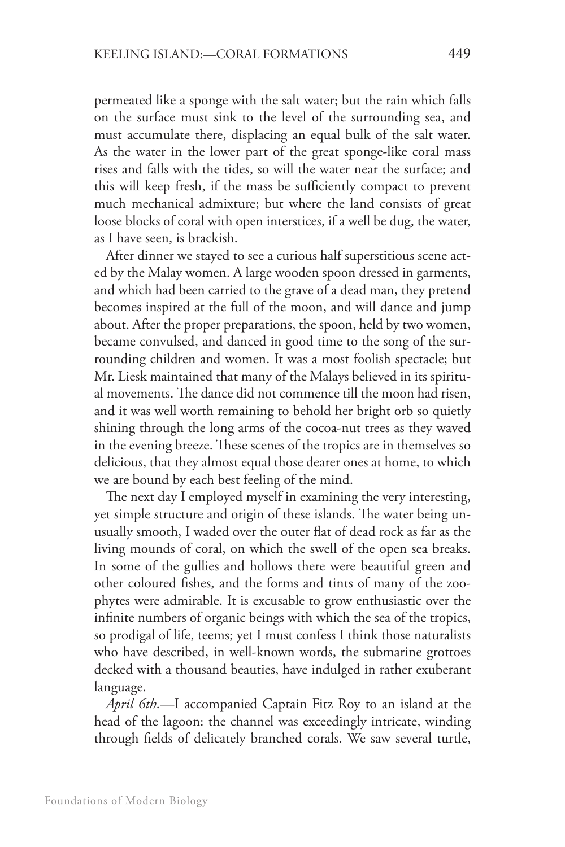permeated like a sponge with the salt water; but the rain which falls on the surface must sink to the level of the surrounding sea, and must accumulate there, displacing an equal bulk of the salt water. As the water in the lower part of the great sponge-like coral mass rises and falls with the tides, so will the water near the surface; and this will keep fresh, if the mass be sufficiently compact to prevent much mechanical admixture; but where the land consists of great loose blocks of coral with open interstices, if a well be dug, the water, as I have seen, is brackish.

After dinner we stayed to see a curious half superstitious scene acted by the Malay women. A large wooden spoon dressed in garments, and which had been carried to the grave of a dead man, they pretend becomes inspired at the full of the moon, and will dance and jump about. After the proper preparations, the spoon, held by two women, became convulsed, and danced in good time to the song of the surrounding children and women. It was a most foolish spectacle; but Mr. Liesk maintained that many of the Malays believed in its spiritual movements. The dance did not commence till the moon had risen, and it was well worth remaining to behold her bright orb so quietly shining through the long arms of the cocoa-nut trees as they waved in the evening breeze. These scenes of the tropics are in themselves so delicious, that they almost equal those dearer ones at home, to which we are bound by each best feeling of the mind.

The next day I employed myself in examining the very interesting, yet simple structure and origin of these islands. The water being unusually smooth, I waded over the outer flat of dead rock as far as the living mounds of coral, on which the swell of the open sea breaks. In some of the gullies and hollows there were beautiful green and other coloured fishes, and the forms and tints of many of the zoophytes were admirable. It is excusable to grow enthusiastic over the infinite numbers of organic beings with which the sea of the tropics, so prodigal of life, teems; yet I must confess I think those naturalists who have described, in well-known words, the submarine grottoes decked with a thousand beauties, have indulged in rather exuberant language.

*April 6th*.—I accompanied Captain Fitz Roy to an island at the head of the lagoon: the channel was exceedingly intricate, winding through fields of delicately branched corals. We saw several turtle,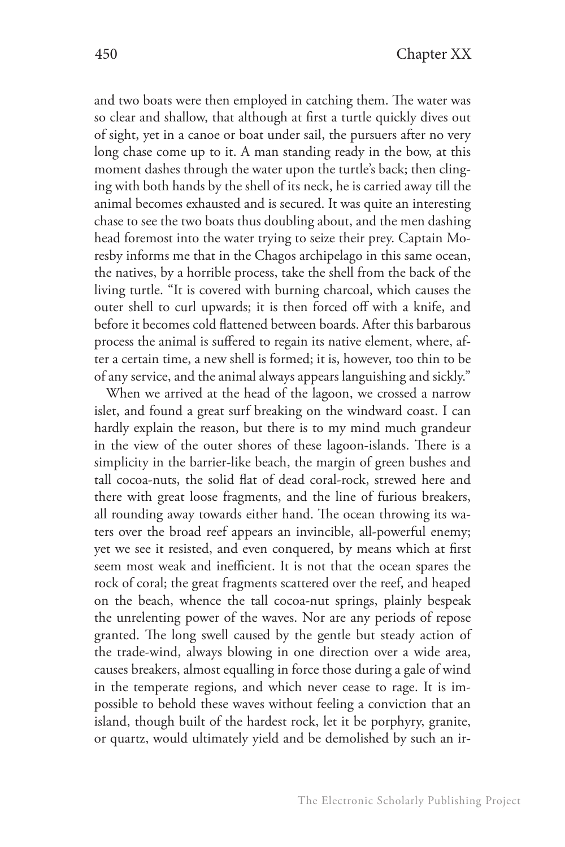and two boats were then employed in catching them. The water was so clear and shallow, that although at first a turtle quickly dives out of sight, yet in a canoe or boat under sail, the pursuers after no very long chase come up to it. A man standing ready in the bow, at this moment dashes through the water upon the turtle's back; then clinging with both hands by the shell of its neck, he is carried away till the animal becomes exhausted and is secured. It was quite an interesting chase to see the two boats thus doubling about, and the men dashing head foremost into the water trying to seize their prey. Captain Moresby informs me that in the Chagos archipelago in this same ocean, the natives, by a horrible process, take the shell from the back of the living turtle. "It is covered with burning charcoal, which causes the outer shell to curl upwards; it is then forced off with a knife, and before it becomes cold flattened between boards. After this barbarous process the animal is suffered to regain its native element, where, after a certain time, a new shell is formed; it is, however, too thin to be of any service, and the animal always appears languishing and sickly."

When we arrived at the head of the lagoon, we crossed a narrow islet, and found a great surf breaking on the windward coast. I can hardly explain the reason, but there is to my mind much grandeur in the view of the outer shores of these lagoon-islands. There is a simplicity in the barrier-like beach, the margin of green bushes and tall cocoa-nuts, the solid flat of dead coral-rock, strewed here and there with great loose fragments, and the line of furious breakers, all rounding away towards either hand. The ocean throwing its waters over the broad reef appears an invincible, all-powerful enemy; yet we see it resisted, and even conquered, by means which at first seem most weak and inefficient. It is not that the ocean spares the rock of coral; the great fragments scattered over the reef, and heaped on the beach, whence the tall cocoa-nut springs, plainly bespeak the unrelenting power of the waves. Nor are any periods of repose granted. The long swell caused by the gentle but steady action of the trade-wind, always blowing in one direction over a wide area, causes breakers, almost equalling in force those during a gale of wind in the temperate regions, and which never cease to rage. It is impossible to behold these waves without feeling a conviction that an island, though built of the hardest rock, let it be porphyry, granite, or quartz, would ultimately yield and be demolished by such an ir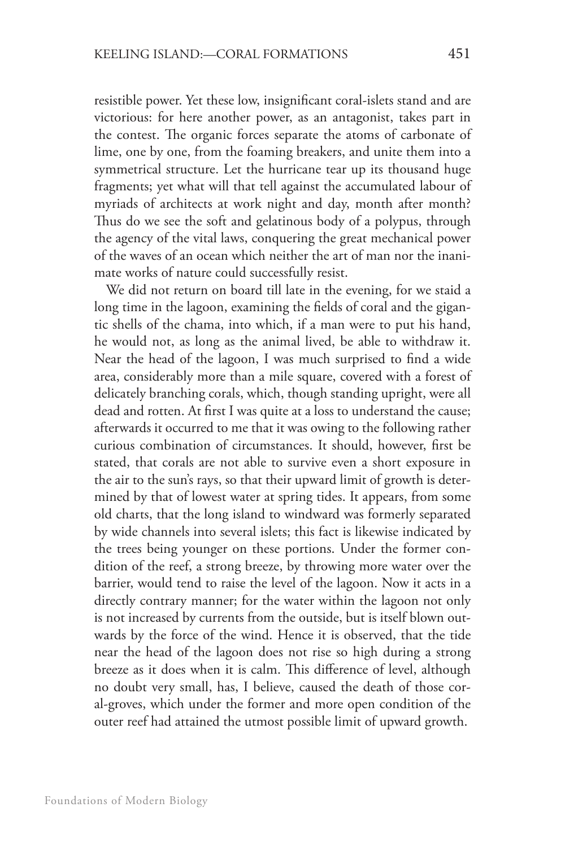resistible power. Yet these low, insignificant coral-islets stand and are victorious: for here another power, as an antagonist, takes part in the contest. The organic forces separate the atoms of carbonate of lime, one by one, from the foaming breakers, and unite them into a symmetrical structure. Let the hurricane tear up its thousand huge fragments; yet what will that tell against the accumulated labour of myriads of architects at work night and day, month after month? Thus do we see the soft and gelatinous body of a polypus, through the agency of the vital laws, conquering the great mechanical power of the waves of an ocean which neither the art of man nor the inanimate works of nature could successfully resist.

We did not return on board till late in the evening, for we staid a long time in the lagoon, examining the fields of coral and the gigantic shells of the chama, into which, if a man were to put his hand, he would not, as long as the animal lived, be able to withdraw it. Near the head of the lagoon, I was much surprised to find a wide area, considerably more than a mile square, covered with a forest of delicately branching corals, which, though standing upright, were all dead and rotten. At first I was quite at a loss to understand the cause; afterwards it occurred to me that it was owing to the following rather curious combination of circumstances. It should, however, first be stated, that corals are not able to survive even a short exposure in the air to the sun's rays, so that their upward limit of growth is determined by that of lowest water at spring tides. It appears, from some old charts, that the long island to windward was formerly separated by wide channels into several islets; this fact is likewise indicated by the trees being younger on these portions. Under the former condition of the reef, a strong breeze, by throwing more water over the barrier, would tend to raise the level of the lagoon. Now it acts in a directly contrary manner; for the water within the lagoon not only is not increased by currents from the outside, but is itself blown outwards by the force of the wind. Hence it is observed, that the tide near the head of the lagoon does not rise so high during a strong breeze as it does when it is calm. This difference of level, although no doubt very small, has, I believe, caused the death of those coral-groves, which under the former and more open condition of the outer reef had attained the utmost possible limit of upward growth.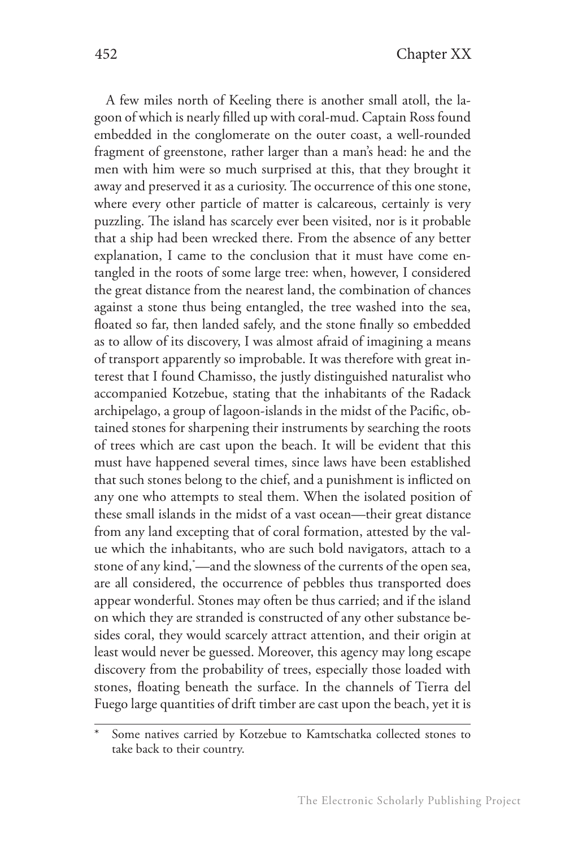A few miles north of Keeling there is another small atoll, the lagoon of which is nearly filled up with coral-mud. Captain Ross found embedded in the conglomerate on the outer coast, a well-rounded fragment of greenstone, rather larger than a man's head: he and the men with him were so much surprised at this, that they brought it away and preserved it as a curiosity. The occurrence of this one stone, where every other particle of matter is calcareous, certainly is very puzzling. The island has scarcely ever been visited, nor is it probable that a ship had been wrecked there. From the absence of any better explanation, I came to the conclusion that it must have come entangled in the roots of some large tree: when, however, I considered the great distance from the nearest land, the combination of chances against a stone thus being entangled, the tree washed into the sea, floated so far, then landed safely, and the stone finally so embedded as to allow of its discovery, I was almost afraid of imagining a means of transport apparently so improbable. It was therefore with great interest that I found Chamisso, the justly distinguished naturalist who accompanied Kotzebue, stating that the inhabitants of the Radack archipelago, a group of lagoon-islands in the midst of the Pacific, obtained stones for sharpening their instruments by searching the roots of trees which are cast upon the beach. It will be evident that this must have happened several times, since laws have been established that such stones belong to the chief, and a punishment is inflicted on any one who attempts to steal them. When the isolated position of these small islands in the midst of a vast ocean—their great distance from any land excepting that of coral formation, attested by the value which the inhabitants, who are such bold navigators, attach to a stone of any kind,\* —and the slowness of the currents of the open sea, are all considered, the occurrence of pebbles thus transported does appear wonderful. Stones may often be thus carried; and if the island on which they are stranded is constructed of any other substance besides coral, they would scarcely attract attention, and their origin at least would never be guessed. Moreover, this agency may long escape discovery from the probability of trees, especially those loaded with stones, floating beneath the surface. In the channels of Tierra del Fuego large quantities of drift timber are cast upon the beach, yet it is

Some natives carried by Kotzebue to Kamtschatka collected stones to take back to their country.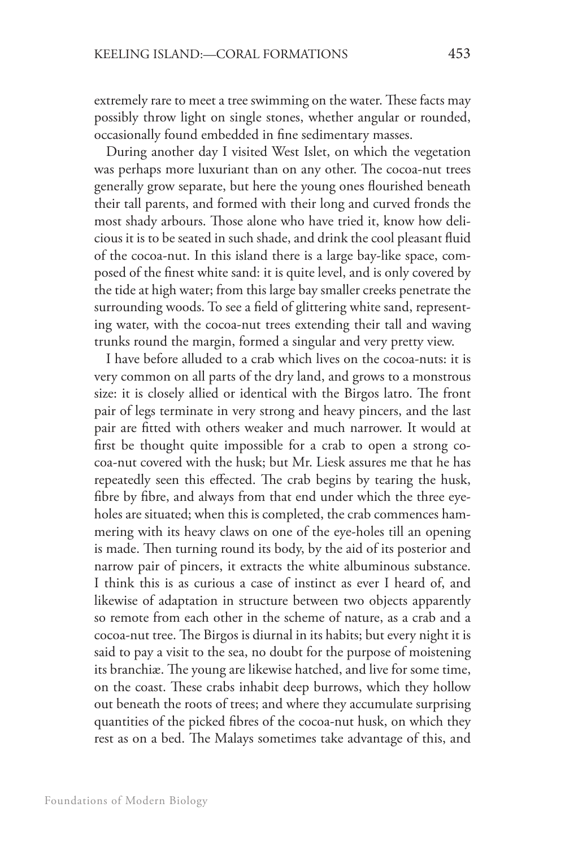extremely rare to meet a tree swimming on the water. These facts may possibly throw light on single stones, whether angular or rounded, occasionally found embedded in fine sedimentary masses.

During another day I visited West Islet, on which the vegetation was perhaps more luxuriant than on any other. The cocoa-nut trees generally grow separate, but here the young ones flourished beneath their tall parents, and formed with their long and curved fronds the most shady arbours. Those alone who have tried it, know how delicious it is to be seated in such shade, and drink the cool pleasant fluid of the cocoa-nut. In this island there is a large bay-like space, composed of the finest white sand: it is quite level, and is only covered by the tide at high water; from this large bay smaller creeks penetrate the surrounding woods. To see a field of glittering white sand, representing water, with the cocoa-nut trees extending their tall and waving trunks round the margin, formed a singular and very pretty view.

I have before alluded to a crab which lives on the cocoa-nuts: it is very common on all parts of the dry land, and grows to a monstrous size: it is closely allied or identical with the Birgos latro. The front pair of legs terminate in very strong and heavy pincers, and the last pair are fitted with others weaker and much narrower. It would at first be thought quite impossible for a crab to open a strong cocoa-nut covered with the husk; but Mr. Liesk assures me that he has repeatedly seen this effected. The crab begins by tearing the husk, fibre by fibre, and always from that end under which the three eyeholes are situated; when this is completed, the crab commences hammering with its heavy claws on one of the eye-holes till an opening is made. Then turning round its body, by the aid of its posterior and narrow pair of pincers, it extracts the white albuminous substance. I think this is as curious a case of instinct as ever I heard of, and likewise of adaptation in structure between two objects apparently so remote from each other in the scheme of nature, as a crab and a cocoa-nut tree. The Birgos is diurnal in its habits; but every night it is said to pay a visit to the sea, no doubt for the purpose of moistening its branchiæ. The young are likewise hatched, and live for some time, on the coast. These crabs inhabit deep burrows, which they hollow out beneath the roots of trees; and where they accumulate surprising quantities of the picked fibres of the cocoa-nut husk, on which they rest as on a bed. The Malays sometimes take advantage of this, and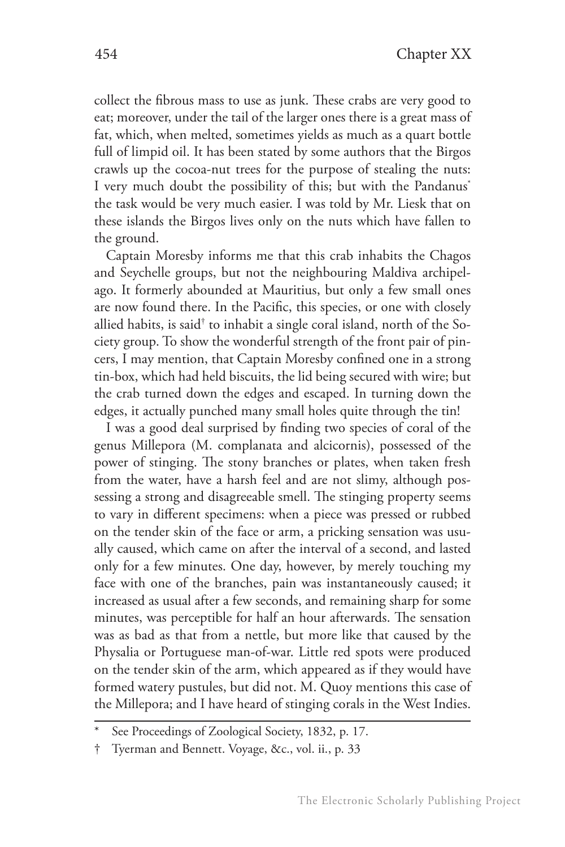collect the fibrous mass to use as junk. These crabs are very good to eat; moreover, under the tail of the larger ones there is a great mass of fat, which, when melted, sometimes yields as much as a quart bottle full of limpid oil. It has been stated by some authors that the Birgos crawls up the cocoa-nut trees for the purpose of stealing the nuts: I very much doubt the possibility of this; but with the Pandanus<sup>\*</sup> the task would be very much easier. I was told by Mr. Liesk that on these islands the Birgos lives only on the nuts which have fallen to the ground.

Captain Moresby informs me that this crab inhabits the Chagos and Seychelle groups, but not the neighbouring Maldiva archipelago. It formerly abounded at Mauritius, but only a few small ones are now found there. In the Pacific, this species, or one with closely allied habits, is said $^\dagger$  to inhabit a single coral island, north of the Society group. To show the wonderful strength of the front pair of pincers, I may mention, that Captain Moresby confined one in a strong tin-box, which had held biscuits, the lid being secured with wire; but the crab turned down the edges and escaped. In turning down the edges, it actually punched many small holes quite through the tin!

I was a good deal surprised by finding two species of coral of the genus Millepora (M. complanata and alcicornis), possessed of the power of stinging. The stony branches or plates, when taken fresh from the water, have a harsh feel and are not slimy, although possessing a strong and disagreeable smell. The stinging property seems to vary in different specimens: when a piece was pressed or rubbed on the tender skin of the face or arm, a pricking sensation was usually caused, which came on after the interval of a second, and lasted only for a few minutes. One day, however, by merely touching my face with one of the branches, pain was instantaneously caused; it increased as usual after a few seconds, and remaining sharp for some minutes, was perceptible for half an hour afterwards. The sensation was as bad as that from a nettle, but more like that caused by the Physalia or Portuguese man-of-war. Little red spots were produced on the tender skin of the arm, which appeared as if they would have formed watery pustules, but did not. M. Quoy mentions this case of the Millepora; and I have heard of stinging corals in the West Indies.

See Proceedings of Zoological Society, 1832, p. 17.

<sup>†</sup> Tyerman and Bennett. Voyage, &c., vol. ii., p. 33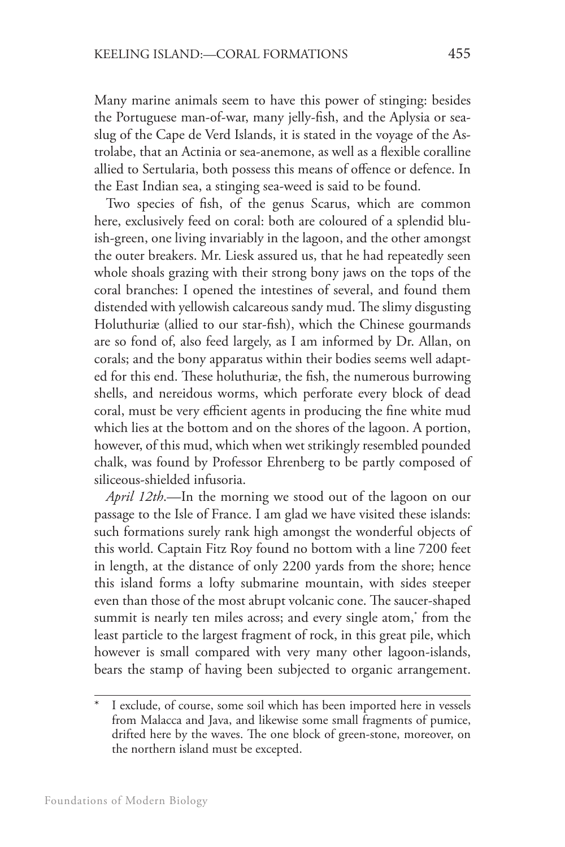Many marine animals seem to have this power of stinging: besides the Portuguese man-of-war, many jelly-fish, and the Aplysia or seaslug of the Cape de Verd Islands, it is stated in the voyage of the Astrolabe, that an Actinia or sea-anemone, as well as a flexible coralline allied to Sertularia, both possess this means of offence or defence. In the East Indian sea, a stinging sea-weed is said to be found.

Two species of fish, of the genus Scarus, which are common here, exclusively feed on coral: both are coloured of a splendid bluish-green, one living invariably in the lagoon, and the other amongst the outer breakers. Mr. Liesk assured us, that he had repeatedly seen whole shoals grazing with their strong bony jaws on the tops of the coral branches: I opened the intestines of several, and found them distended with yellowish calcareous sandy mud. The slimy disgusting Holuthuriæ (allied to our star-fish), which the Chinese gourmands are so fond of, also feed largely, as I am informed by Dr. Allan, on corals; and the bony apparatus within their bodies seems well adapted for this end. These holuthuriæ, the fish, the numerous burrowing shells, and nereidous worms, which perforate every block of dead coral, must be very efficient agents in producing the fine white mud which lies at the bottom and on the shores of the lagoon. A portion, however, of this mud, which when wet strikingly resembled pounded chalk, was found by Professor Ehrenberg to be partly composed of siliceous-shielded infusoria.

*April 12th*.—In the morning we stood out of the lagoon on our passage to the Isle of France. I am glad we have visited these islands: such formations surely rank high amongst the wonderful objects of this world. Captain Fitz Roy found no bottom with a line 7200 feet in length, at the distance of only 2200 yards from the shore; hence this island forms a lofty submarine mountain, with sides steeper even than those of the most abrupt volcanic cone. The saucer-shaped summit is nearly ten miles across; and every single atom,\* from the least particle to the largest fragment of rock, in this great pile, which however is small compared with very many other lagoon-islands, bears the stamp of having been subjected to organic arrangement.

I exclude, of course, some soil which has been imported here in vessels from Malacca and Java, and likewise some small fragments of pumice, drifted here by the waves. The one block of green-stone, moreover, on the northern island must be excepted.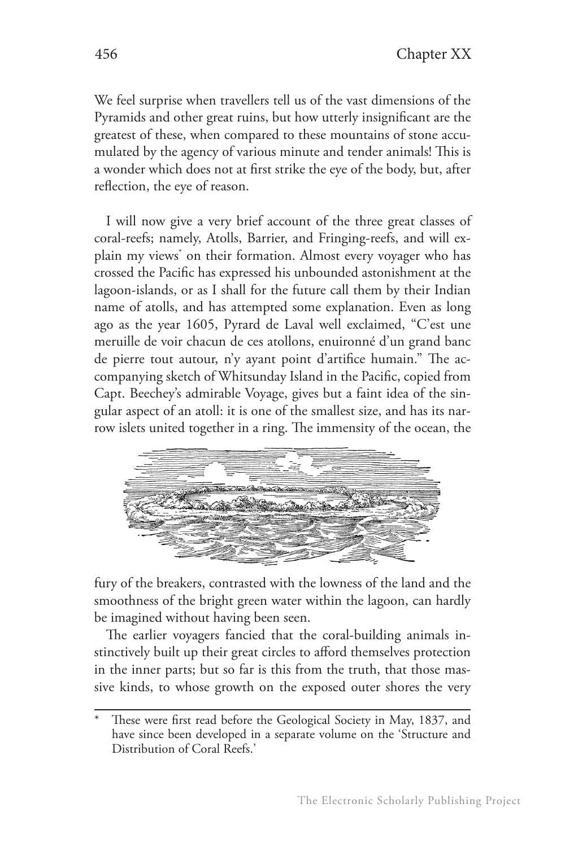We feel surprise when travellers tell us of the vast dimensions of the Pyramids and other great ruins, but how utterly insignificant are the greatest of these, when compared to these mountains of stone accumulated by the agency of various minute and tender animals! This is a wonder which does not at first strike the eye of the body, but, after reflection, the eye of reason.

I will now give a very brief account of the three great classes of coral-reefs; namely, Atolls, Barrier, and Fringing-reefs, and will explain my views\* on their formation. Almost every voyager who has crossed the Pacific has expressed his unbounded astonishment at the lagoon-islands, or as I shall for the future call them by their Indian name of atolls, and has attempted some explanation. Even as long ago as the year 1605, Pyrard de Laval well exclaimed, "C'est une meruille de voir chacun de ces atollons, enuironné d'un grand banc de pierre tout autour, n'y ayant point d'artifice humain." The accompanying sketch of Whitsunday Island in the Pacific, copied from Capt. Beechey's admirable Voyage, gives but a faint idea of the singular aspect of an atoll: it is one of the smallest size, and has its narrow islets united together in a ring. The immensity of the ocean, the



fury of the breakers, contrasted with the lowness of the land and the smoothness of the bright green water within the lagoon, can hardly be imagined without having been seen.

The earlier voyagers fancied that the coral-building animals instinctively built up their great circles to afford themselves protection in the inner parts; but so far is this from the truth, that those massive kinds, to whose growth on the exposed outer shores the very

These were first read before the Geological Society in May, 1837, and have since been developed in a separate volume on the 'Structure and Distribution of Coral Reefs.'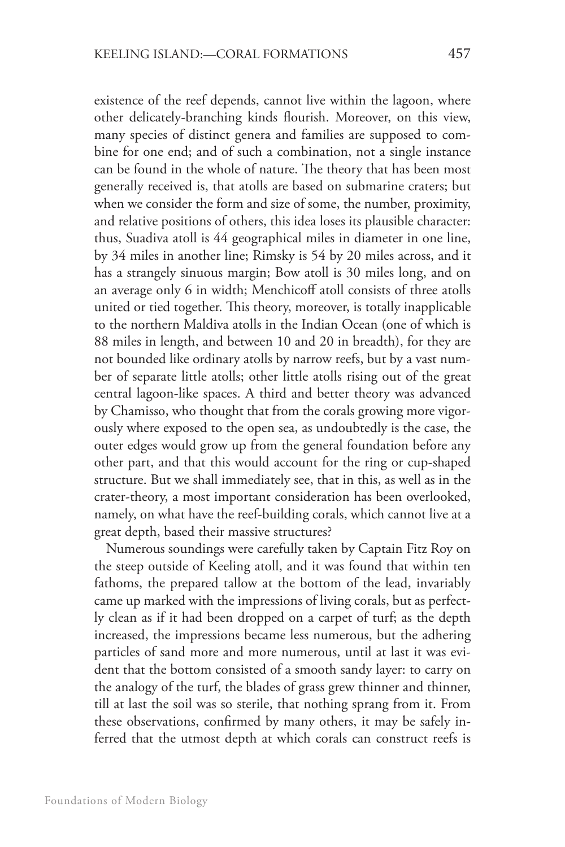existence of the reef depends, cannot live within the lagoon, where other delicately-branching kinds flourish. Moreover, on this view, many species of distinct genera and families are supposed to combine for one end; and of such a combination, not a single instance can be found in the whole of nature. The theory that has been most generally received is, that atolls are based on submarine craters; but when we consider the form and size of some, the number, proximity, and relative positions of others, this idea loses its plausible character: thus, Suadiva atoll is 44 geographical miles in diameter in one line, by 34 miles in another line; Rimsky is 54 by 20 miles across, and it has a strangely sinuous margin; Bow atoll is 30 miles long, and on an average only 6 in width; Menchicoff atoll consists of three atolls united or tied together. This theory, moreover, is totally inapplicable to the northern Maldiva atolls in the Indian Ocean (one of which is 88 miles in length, and between 10 and 20 in breadth), for they are not bounded like ordinary atolls by narrow reefs, but by a vast number of separate little atolls; other little atolls rising out of the great central lagoon-like spaces. A third and better theory was advanced by Chamisso, who thought that from the corals growing more vigorously where exposed to the open sea, as undoubtedly is the case, the outer edges would grow up from the general foundation before any other part, and that this would account for the ring or cup-shaped structure. But we shall immediately see, that in this, as well as in the crater-theory, a most important consideration has been overlooked, namely, on what have the reef-building corals, which cannot live at a great depth, based their massive structures?

Numerous soundings were carefully taken by Captain Fitz Roy on the steep outside of Keeling atoll, and it was found that within ten fathoms, the prepared tallow at the bottom of the lead, invariably came up marked with the impressions of living corals, but as perfectly clean as if it had been dropped on a carpet of turf; as the depth increased, the impressions became less numerous, but the adhering particles of sand more and more numerous, until at last it was evident that the bottom consisted of a smooth sandy layer: to carry on the analogy of the turf, the blades of grass grew thinner and thinner, till at last the soil was so sterile, that nothing sprang from it. From these observations, confirmed by many others, it may be safely inferred that the utmost depth at which corals can construct reefs is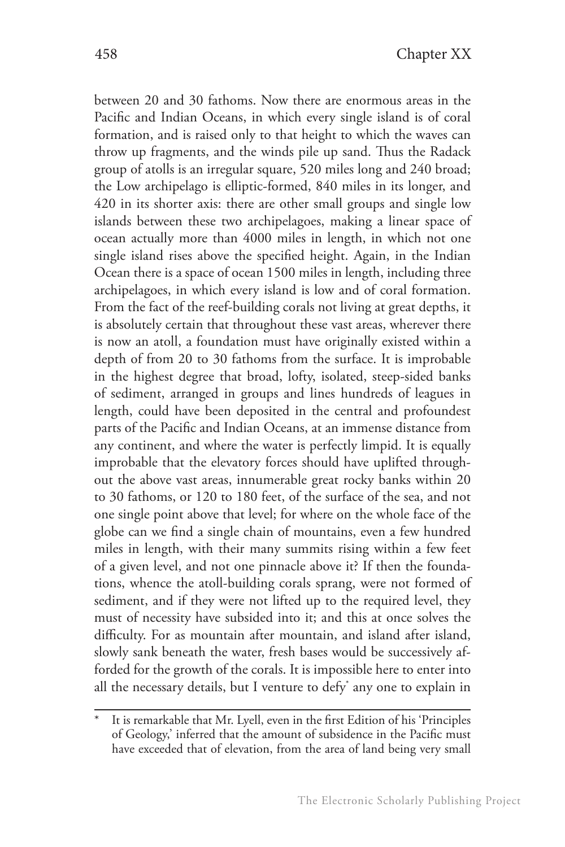between 20 and 30 fathoms. Now there are enormous areas in the Pacific and Indian Oceans, in which every single island is of coral formation, and is raised only to that height to which the waves can throw up fragments, and the winds pile up sand. Thus the Radack group of atolls is an irregular square, 520 miles long and 240 broad; the Low archipelago is elliptic-formed, 840 miles in its longer, and 420 in its shorter axis: there are other small groups and single low islands between these two archipelagoes, making a linear space of ocean actually more than 4000 miles in length, in which not one single island rises above the specified height. Again, in the Indian Ocean there is a space of ocean 1500 miles in length, including three archipelagoes, in which every island is low and of coral formation. From the fact of the reef-building corals not living at great depths, it is absolutely certain that throughout these vast areas, wherever there is now an atoll, a foundation must have originally existed within a depth of from 20 to 30 fathoms from the surface. It is improbable in the highest degree that broad, lofty, isolated, steep-sided banks of sediment, arranged in groups and lines hundreds of leagues in length, could have been deposited in the central and profoundest parts of the Pacific and Indian Oceans, at an immense distance from any continent, and where the water is perfectly limpid. It is equally improbable that the elevatory forces should have uplifted throughout the above vast areas, innumerable great rocky banks within 20 to 30 fathoms, or 120 to 180 feet, of the surface of the sea, and not one single point above that level; for where on the whole face of the globe can we find a single chain of mountains, even a few hundred miles in length, with their many summits rising within a few feet of a given level, and not one pinnacle above it? If then the foundations, whence the atoll-building corals sprang, were not formed of sediment, and if they were not lifted up to the required level, they must of necessity have subsided into it; and this at once solves the difficulty. For as mountain after mountain, and island after island, slowly sank beneath the water, fresh bases would be successively afforded for the growth of the corals. It is impossible here to enter into all the necessary details, but I venture to defy\* any one to explain in

It is remarkable that Mr. Lyell, even in the first Edition of his 'Principles of Geology,' inferred that the amount of subsidence in the Pacific must have exceeded that of elevation, from the area of land being very small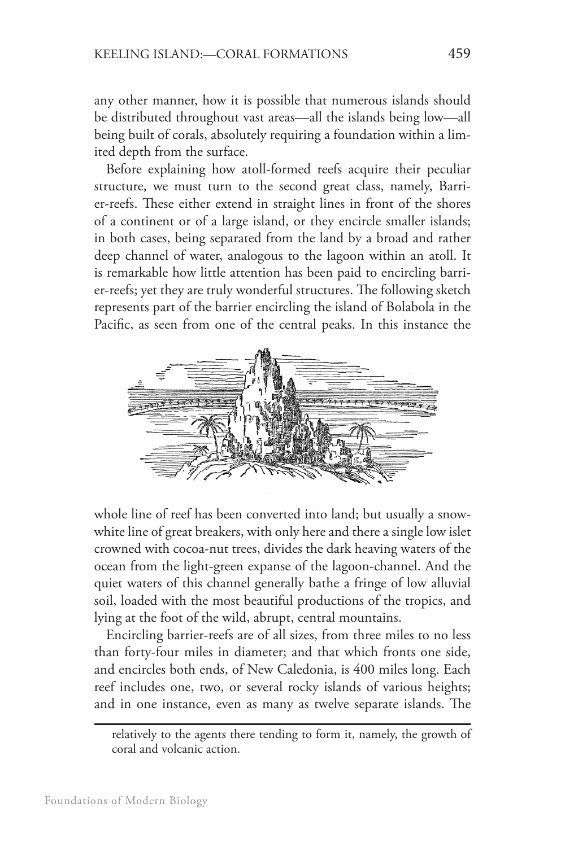any other manner, how it is possible that numerous islands should be distributed throughout vast areas—all the islands being low—all being built of corals, absolutely requiring a foundation within a limited depth from the surface.

Before explaining how atoll-formed reefs acquire their peculiar structure, we must turn to the second great class, namely, Barrier-reefs. These either extend in straight lines in front of the shores of a continent or of a large island, or they encircle smaller islands; in both cases, being separated from the land by a broad and rather deep channel of water, analogous to the lagoon within an atoll. It is remarkable how little attention has been paid to encircling barrier-reefs; yet they are truly wonderful structures. The following sketch represents part of the barrier encircling the island of Bolabola in the Pacific, as seen from one of the central peaks. In this instance the



whole line of reef has been converted into land; but usually a snowwhite line of great breakers, with only here and there a single low islet crowned with cocoa-nut trees, divides the dark heaving waters of the ocean from the light-green expanse of the lagoon-channel. And the quiet waters of this channel generally bathe a fringe of low alluvial soil, loaded with the most beautiful productions of the tropics, and lying at the foot of the wild, abrupt, central mountains.

Encircling barrier-reefs are of all sizes, from three miles to no less than forty-four miles in diameter; and that which fronts one side, and encircles both ends, of New Caledonia, is 400 miles long. Each reef includes one, two, or several rocky islands of various heights; and in one instance, even as many as twelve separate islands. The

relatively to the agents there tending to form it, namely, the growth of coral and volcanic action.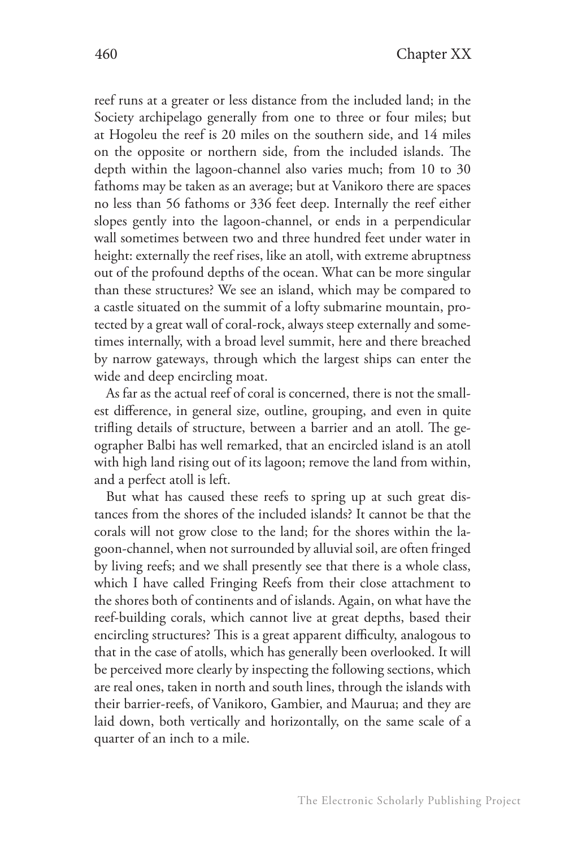reef runs at a greater or less distance from the included land; in the Society archipelago generally from one to three or four miles; but at Hogoleu the reef is 20 miles on the southern side, and 14 miles on the opposite or northern side, from the included islands. The depth within the lagoon-channel also varies much; from 10 to 30 fathoms may be taken as an average; but at Vanikoro there are spaces no less than 56 fathoms or 336 feet deep. Internally the reef either slopes gently into the lagoon-channel, or ends in a perpendicular wall sometimes between two and three hundred feet under water in height: externally the reef rises, like an atoll, with extreme abruptness out of the profound depths of the ocean. What can be more singular than these structures? We see an island, which may be compared to a castle situated on the summit of a lofty submarine mountain, protected by a great wall of coral-rock, always steep externally and sometimes internally, with a broad level summit, here and there breached by narrow gateways, through which the largest ships can enter the wide and deep encircling moat.

As far as the actual reef of coral is concerned, there is not the smallest difference, in general size, outline, grouping, and even in quite trifling details of structure, between a barrier and an atoll. The geographer Balbi has well remarked, that an encircled island is an atoll with high land rising out of its lagoon; remove the land from within, and a perfect atoll is left.

But what has caused these reefs to spring up at such great distances from the shores of the included islands? It cannot be that the corals will not grow close to the land; for the shores within the lagoon-channel, when not surrounded by alluvial soil, are often fringed by living reefs; and we shall presently see that there is a whole class, which I have called Fringing Reefs from their close attachment to the shores both of continents and of islands. Again, on what have the reef-building corals, which cannot live at great depths, based their encircling structures? This is a great apparent difficulty, analogous to that in the case of atolls, which has generally been overlooked. It will be perceived more clearly by inspecting the following sections, which are real ones, taken in north and south lines, through the islands with their barrier-reefs, of Vanikoro, Gambier, and Maurua; and they are laid down, both vertically and horizontally, on the same scale of a quarter of an inch to a mile.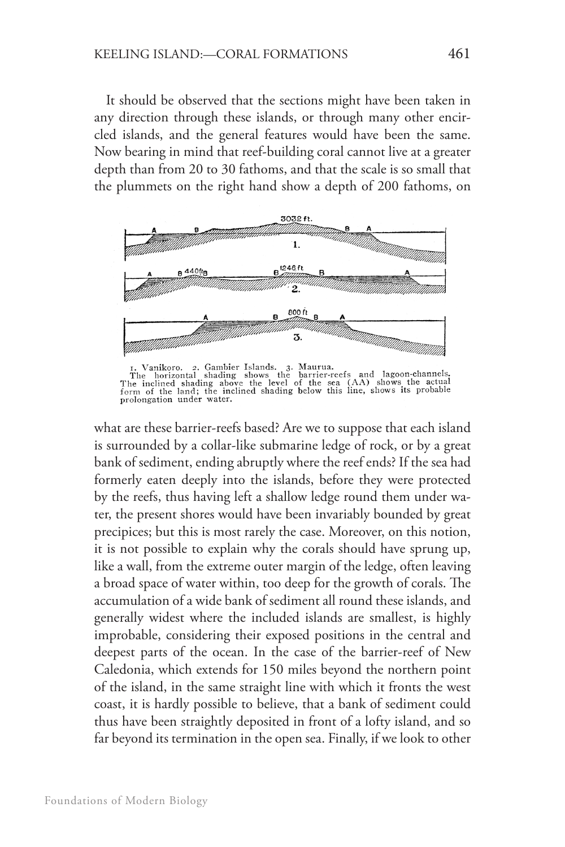It should be observed that the sections might have been taken in any direction through these islands, or through many other encircled islands, and the general features would have been the same. Now bearing in mind that reef-building coral cannot live at a greater depth than from 20 to 30 fathoms, and that the scale is so small that the plummets on the right hand show a depth of 200 fathoms, on



The horizontal shading shows the barrier-reefs and lagoon-channels.<br>The horizontal shading shows the barrier-reefs and lagoon-channels.<br>The inclined shading above the level of the sea (AA) shows the actual<br>form of the land

what are these barrier-reefs based? Are we to suppose that each island is surrounded by a collar-like submarine ledge of rock, or by a great bank of sediment, ending abruptly where the reef ends? If the sea had formerly eaten deeply into the islands, before they were protected by the reefs, thus having left a shallow ledge round them under water, the present shores would have been invariably bounded by great precipices; but this is most rarely the case. Moreover, on this notion, it is not possible to explain why the corals should have sprung up, like a wall, from the extreme outer margin of the ledge, often leaving a broad space of water within, too deep for the growth of corals. The accumulation of a wide bank of sediment all round these islands, and generally widest where the included islands are smallest, is highly improbable, considering their exposed positions in the central and deepest parts of the ocean. In the case of the barrier-reef of New Caledonia, which extends for 150 miles beyond the northern point of the island, in the same straight line with which it fronts the west coast, it is hardly possible to believe, that a bank of sediment could thus have been straightly deposited in front of a lofty island, and so far beyond its termination in the open sea. Finally, if we look to other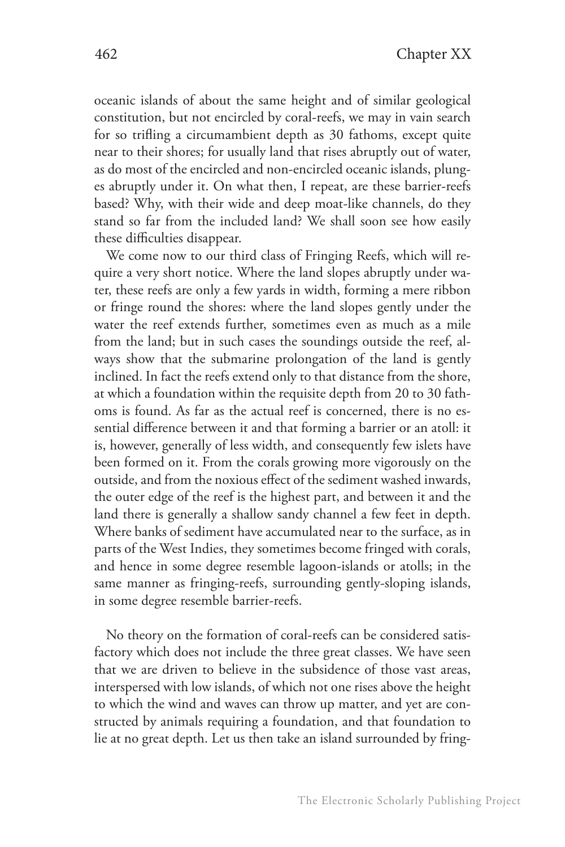oceanic islands of about the same height and of similar geological constitution, but not encircled by coral-reefs, we may in vain search for so trifling a circumambient depth as 30 fathoms, except quite near to their shores; for usually land that rises abruptly out of water, as do most of the encircled and non-encircled oceanic islands, plunges abruptly under it. On what then, I repeat, are these barrier-reefs based? Why, with their wide and deep moat-like channels, do they stand so far from the included land? We shall soon see how easily these difficulties disappear.

We come now to our third class of Fringing Reefs, which will require a very short notice. Where the land slopes abruptly under water, these reefs are only a few yards in width, forming a mere ribbon or fringe round the shores: where the land slopes gently under the water the reef extends further, sometimes even as much as a mile from the land; but in such cases the soundings outside the reef, always show that the submarine prolongation of the land is gently inclined. In fact the reefs extend only to that distance from the shore, at which a foundation within the requisite depth from 20 to 30 fathoms is found. As far as the actual reef is concerned, there is no essential difference between it and that forming a barrier or an atoll: it is, however, generally of less width, and consequently few islets have been formed on it. From the corals growing more vigorously on the outside, and from the noxious effect of the sediment washed inwards, the outer edge of the reef is the highest part, and between it and the land there is generally a shallow sandy channel a few feet in depth. Where banks of sediment have accumulated near to the surface, as in parts of the West Indies, they sometimes become fringed with corals, and hence in some degree resemble lagoon-islands or atolls; in the same manner as fringing-reefs, surrounding gently-sloping islands, in some degree resemble barrier-reefs.

No theory on the formation of coral-reefs can be considered satisfactory which does not include the three great classes. We have seen that we are driven to believe in the subsidence of those vast areas, interspersed with low islands, of which not one rises above the height to which the wind and waves can throw up matter, and yet are constructed by animals requiring a foundation, and that foundation to lie at no great depth. Let us then take an island surrounded by fring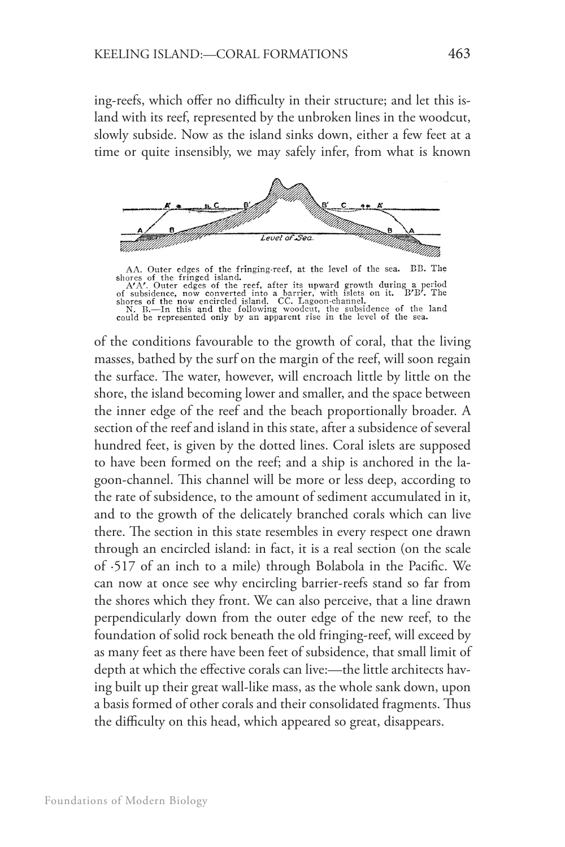ing-reefs, which offer no difficulty in their structure; and let this island with its reef, represented by the unbroken lines in the woodcut, slowly subside. Now as the island sinks down, either a few feet at a time or quite insensibly, we may safely infer, from what is known



AA. Outer edges of the fringing-reef, at the level of the sea. BB. The shores of the fringed island. A<sup>A</sup>. Outer edges of the reef, after its upward growth during a period of subsidence, now converted into a barrier, with

of the conditions favourable to the growth of coral, that the living masses, bathed by the surf on the margin of the reef, will soon regain the surface. The water, however, will encroach little by little on the shore, the island becoming lower and smaller, and the space between the inner edge of the reef and the beach proportionally broader. A section of the reef and island in this state, after a subsidence of several hundred feet, is given by the dotted lines. Coral islets are supposed to have been formed on the reef; and a ship is anchored in the lagoon-channel. This channel will be more or less deep, according to the rate of subsidence, to the amount of sediment accumulated in it, and to the growth of the delicately branched corals which can live there. The section in this state resembles in every respect one drawn through an encircled island: in fact, it is a real section (on the scale of ·517 of an inch to a mile) through Bolabola in the Pacific. We can now at once see why encircling barrier-reefs stand so far from the shores which they front. We can also perceive, that a line drawn perpendicularly down from the outer edge of the new reef, to the foundation of solid rock beneath the old fringing-reef, will exceed by as many feet as there have been feet of subsidence, that small limit of depth at which the effective corals can live:—the little architects having built up their great wall-like mass, as the whole sank down, upon a basis formed of other corals and their consolidated fragments. Thus the difficulty on this head, which appeared so great, disappears.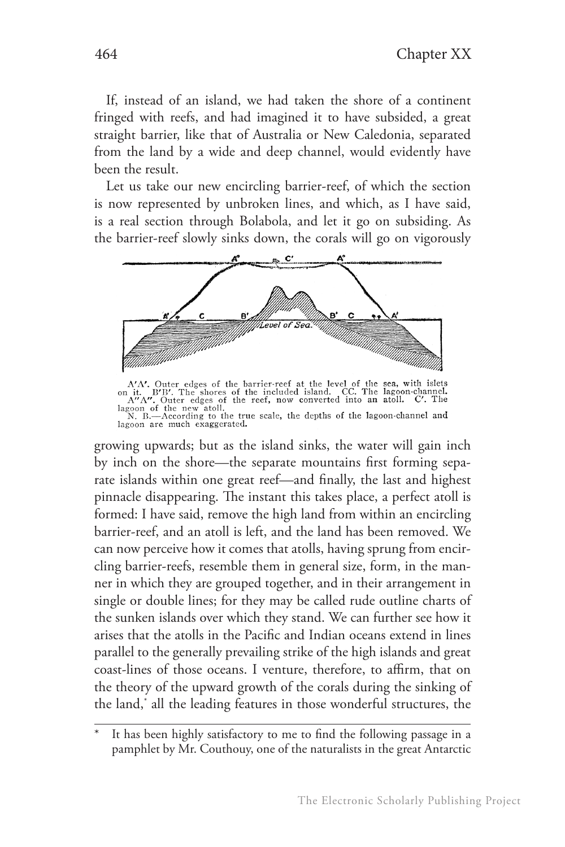If, instead of an island, we had taken the shore of a continent fringed with reefs, and had imagined it to have subsided, a great straight barrier, like that of Australia or New Caledonia, separated from the land by a wide and deep channel, would evidently have been the result.

Let us take our new encircling barrier-reef, of which the section is now represented by unbroken lines, and which, as I have said, is a real section through Bolabola, and let it go on subsiding. As the barrier-reef slowly sinks down, the corals will go on vigorously



A'A'. Outer edges of the barrier-reef at the level of the sea, with islets<br>on it. B'B'. The shores of the included island. CC. The lagoon-channel.<br>A"A". Outer edges of the reef, now converted into an atoll. C'. The<br>lagoon

growing upwards; but as the island sinks, the water will gain inch by inch on the shore—the separate mountains first forming separate islands within one great reef—and finally, the last and highest pinnacle disappearing. The instant this takes place, a perfect atoll is formed: I have said, remove the high land from within an encircling barrier-reef, and an atoll is left, and the land has been removed. We can now perceive how it comes that atolls, having sprung from encircling barrier-reefs, resemble them in general size, form, in the manner in which they are grouped together, and in their arrangement in single or double lines; for they may be called rude outline charts of the sunken islands over which they stand. We can further see how it arises that the atolls in the Pacific and Indian oceans extend in lines parallel to the generally prevailing strike of the high islands and great coast-lines of those oceans. I venture, therefore, to affirm, that on the theory of the upward growth of the corals during the sinking of the land,\* all the leading features in those wonderful structures, the

It has been highly satisfactory to me to find the following passage in a pamphlet by Mr. Couthouy, one of the naturalists in the great Antarctic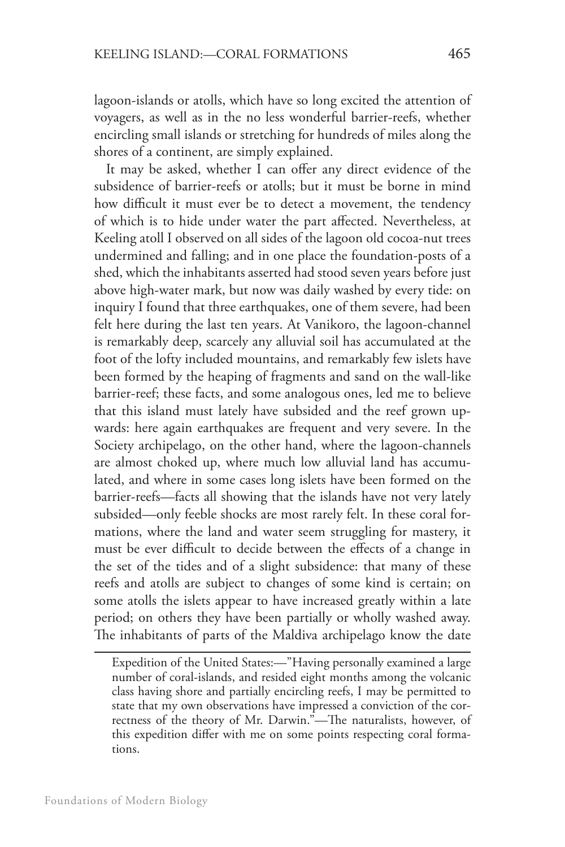lagoon-islands or atolls, which have so long excited the attention of voyagers, as well as in the no less wonderful barrier-reefs, whether encircling small islands or stretching for hundreds of miles along the shores of a continent, are simply explained.

It may be asked, whether I can offer any direct evidence of the subsidence of barrier-reefs or atolls; but it must be borne in mind how difficult it must ever be to detect a movement, the tendency of which is to hide under water the part affected. Nevertheless, at Keeling atoll I observed on all sides of the lagoon old cocoa-nut trees undermined and falling; and in one place the foundation-posts of a shed, which the inhabitants asserted had stood seven years before just above high-water mark, but now was daily washed by every tide: on inquiry I found that three earthquakes, one of them severe, had been felt here during the last ten years. At Vanikoro, the lagoon-channel is remarkably deep, scarcely any alluvial soil has accumulated at the foot of the lofty included mountains, and remarkably few islets have been formed by the heaping of fragments and sand on the wall-like barrier-reef; these facts, and some analogous ones, led me to believe that this island must lately have subsided and the reef grown upwards: here again earthquakes are frequent and very severe. In the Society archipelago, on the other hand, where the lagoon-channels are almost choked up, where much low alluvial land has accumulated, and where in some cases long islets have been formed on the barrier-reefs—facts all showing that the islands have not very lately subsided—only feeble shocks are most rarely felt. In these coral formations, where the land and water seem struggling for mastery, it must be ever difficult to decide between the effects of a change in the set of the tides and of a slight subsidence: that many of these reefs and atolls are subject to changes of some kind is certain; on some atolls the islets appear to have increased greatly within a late period; on others they have been partially or wholly washed away. The inhabitants of parts of the Maldiva archipelago know the date

Expedition of the United States:—"Having personally examined a large number of coral-islands, and resided eight months among the volcanic class having shore and partially encircling reefs, I may be permitted to state that my own observations have impressed a conviction of the correctness of the theory of Mr. Darwin."—The naturalists, however, of this expedition differ with me on some points respecting coral formations.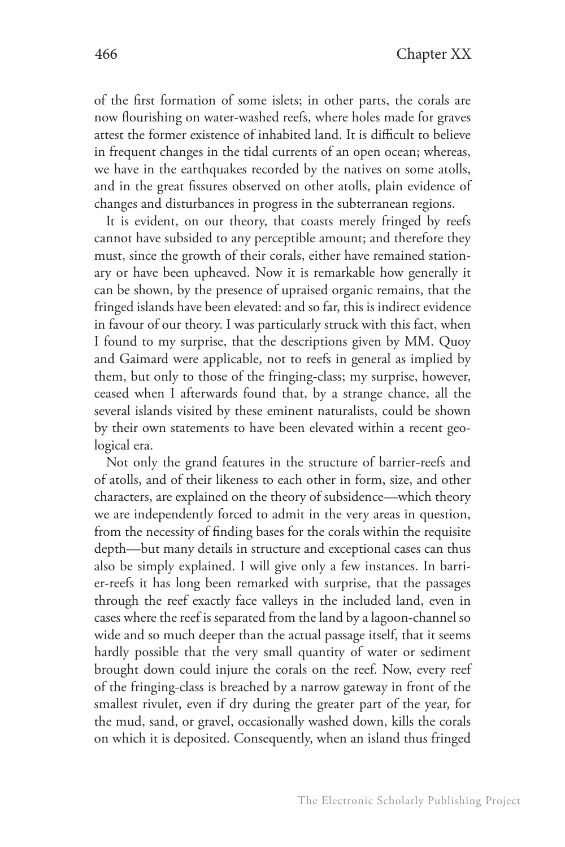of the first formation of some islets; in other parts, the corals are now flourishing on water-washed reefs, where holes made for graves attest the former existence of inhabited land. It is difficult to believe in frequent changes in the tidal currents of an open ocean; whereas, we have in the earthquakes recorded by the natives on some atolls, and in the great fissures observed on other atolls, plain evidence of changes and disturbances in progress in the subterranean regions.

It is evident, on our theory, that coasts merely fringed by reefs cannot have subsided to any perceptible amount; and therefore they must, since the growth of their corals, either have remained stationary or have been upheaved. Now it is remarkable how generally it can be shown, by the presence of upraised organic remains, that the fringed islands have been elevated: and so far, this is indirect evidence in favour of our theory. I was particularly struck with this fact, when I found to my surprise, that the descriptions given by MM. Quoy and Gaimard were applicable, not to reefs in general as implied by them, but only to those of the fringing-class; my surprise, however, ceased when I afterwards found that, by a strange chance, all the several islands visited by these eminent naturalists, could be shown by their own statements to have been elevated within a recent geological era.

Not only the grand features in the structure of barrier-reefs and of atolls, and of their likeness to each other in form, size, and other characters, are explained on the theory of subsidence—which theory we are independently forced to admit in the very areas in question, from the necessity of finding bases for the corals within the requisite depth—but many details in structure and exceptional cases can thus also be simply explained. I will give only a few instances. In barrier-reefs it has long been remarked with surprise, that the passages through the reef exactly face valleys in the included land, even in cases where the reef is separated from the land by a lagoon-channel so wide and so much deeper than the actual passage itself, that it seems hardly possible that the very small quantity of water or sediment brought down could injure the corals on the reef. Now, every reef of the fringing-class is breached by a narrow gateway in front of the smallest rivulet, even if dry during the greater part of the year, for the mud, sand, or gravel, occasionally washed down, kills the corals on which it is deposited. Consequently, when an island thus fringed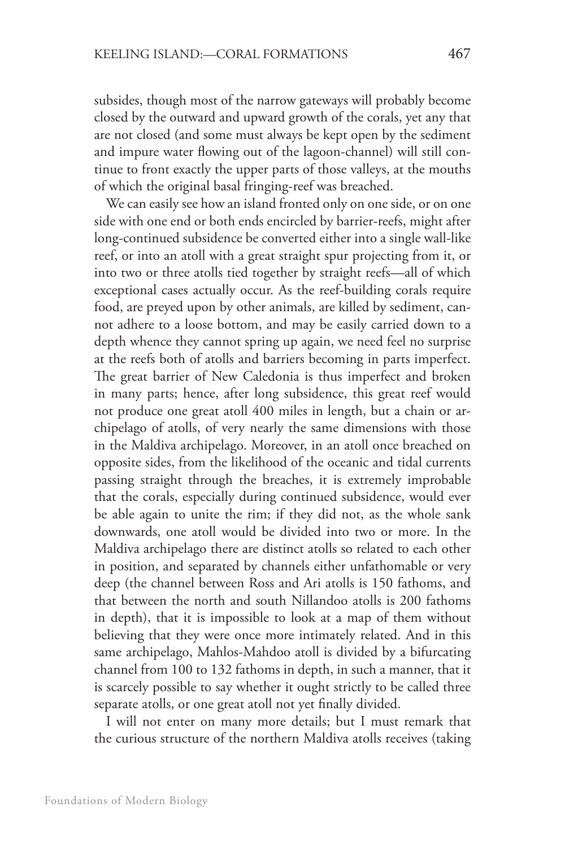subsides, though most of the narrow gateways will probably become closed by the outward and upward growth of the corals, yet any that are not closed (and some must always be kept open by the sediment and impure water flowing out of the lagoon-channel) will still continue to front exactly the upper parts of those valleys, at the mouths of which the original basal fringing-reef was breached.

We can easily see how an island fronted only on one side, or on one side with one end or both ends encircled by barrier-reefs, might after long-continued subsidence be converted either into a single wall-like reef, or into an atoll with a great straight spur projecting from it, or into two or three atolls tied together by straight reefs—all of which exceptional cases actually occur. As the reef-building corals require food, are preyed upon by other animals, are killed by sediment, cannot adhere to a loose bottom, and may be easily carried down to a depth whence they cannot spring up again, we need feel no surprise at the reefs both of atolls and barriers becoming in parts imperfect. The great barrier of New Caledonia is thus imperfect and broken in many parts; hence, after long subsidence, this great reef would not produce one great atoll 400 miles in length, but a chain or archipelago of atolls, of very nearly the same dimensions with those in the Maldiva archipelago. Moreover, in an atoll once breached on opposite sides, from the likelihood of the oceanic and tidal currents passing straight through the breaches, it is extremely improbable that the corals, especially during continued subsidence, would ever be able again to unite the rim; if they did not, as the whole sank downwards, one atoll would be divided into two or more. In the Maldiva archipelago there are distinct atolls so related to each other in position, and separated by channels either unfathomable or very deep (the channel between Ross and Ari atolls is 150 fathoms, and that between the north and south Nillandoo atolls is 200 fathoms in depth), that it is impossible to look at a map of them without believing that they were once more intimately related. And in this same archipelago, Mahlos-Mahdoo atoll is divided by a bifurcating channel from 100 to 132 fathoms in depth, in such a manner, that it is scarcely possible to say whether it ought strictly to be called three separate atolls, or one great atoll not yet finally divided.

I will not enter on many more details; but I must remark that the curious structure of the northern Maldiva atolls receives (taking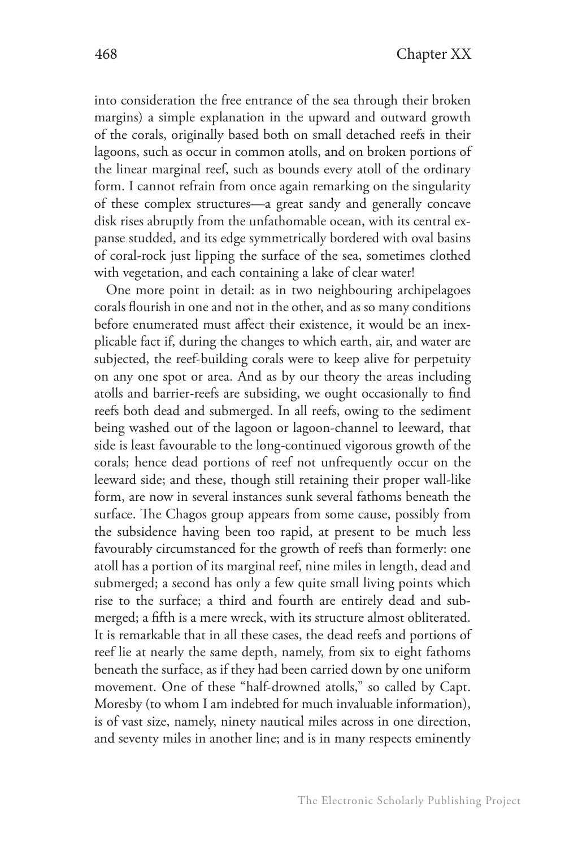into consideration the free entrance of the sea through their broken margins) a simple explanation in the upward and outward growth of the corals, originally based both on small detached reefs in their lagoons, such as occur in common atolls, and on broken portions of the linear marginal reef, such as bounds every atoll of the ordinary form. I cannot refrain from once again remarking on the singularity of these complex structures—a great sandy and generally concave disk rises abruptly from the unfathomable ocean, with its central expanse studded, and its edge symmetrically bordered with oval basins of coral-rock just lipping the surface of the sea, sometimes clothed with vegetation, and each containing a lake of clear water!

One more point in detail: as in two neighbouring archipelagoes corals flourish in one and not in the other, and as so many conditions before enumerated must affect their existence, it would be an inexplicable fact if, during the changes to which earth, air, and water are subjected, the reef-building corals were to keep alive for perpetuity on any one spot or area. And as by our theory the areas including atolls and barrier-reefs are subsiding, we ought occasionally to find reefs both dead and submerged. In all reefs, owing to the sediment being washed out of the lagoon or lagoon-channel to leeward, that side is least favourable to the long-continued vigorous growth of the corals; hence dead portions of reef not unfrequently occur on the leeward side; and these, though still retaining their proper wall-like form, are now in several instances sunk several fathoms beneath the surface. The Chagos group appears from some cause, possibly from the subsidence having been too rapid, at present to be much less favourably circumstanced for the growth of reefs than formerly: one atoll has a portion of its marginal reef, nine miles in length, dead and submerged; a second has only a few quite small living points which rise to the surface; a third and fourth are entirely dead and submerged; a fifth is a mere wreck, with its structure almost obliterated. It is remarkable that in all these cases, the dead reefs and portions of reef lie at nearly the same depth, namely, from six to eight fathoms beneath the surface, as if they had been carried down by one uniform movement. One of these "half-drowned atolls," so called by Capt. Moresby (to whom I am indebted for much invaluable information), is of vast size, namely, ninety nautical miles across in one direction, and seventy miles in another line; and is in many respects eminently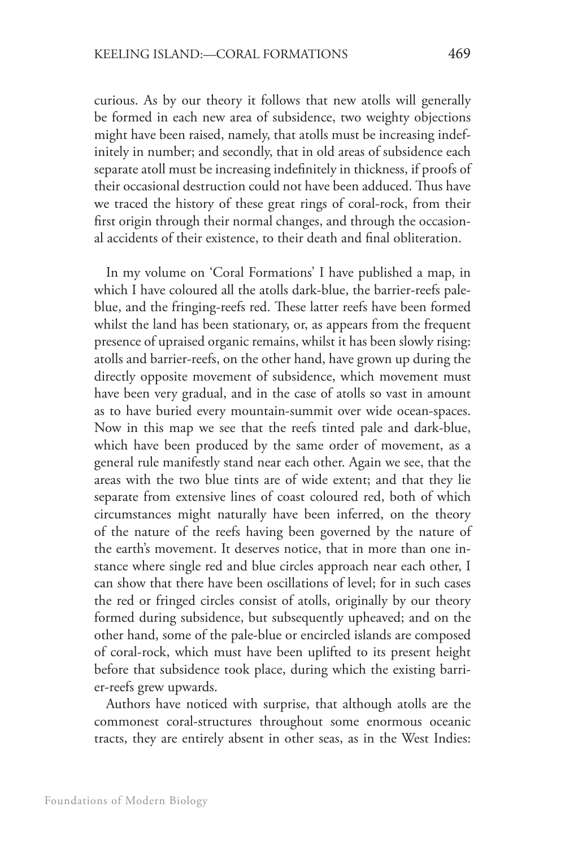curious. As by our theory it follows that new atolls will generally be formed in each new area of subsidence, two weighty objections might have been raised, namely, that atolls must be increasing indefinitely in number; and secondly, that in old areas of subsidence each separate atoll must be increasing indefinitely in thickness, if proofs of their occasional destruction could not have been adduced. Thus have we traced the history of these great rings of coral-rock, from their first origin through their normal changes, and through the occasional accidents of their existence, to their death and final obliteration.

In my volume on 'Coral Formations' I have published a map, in which I have coloured all the atolls dark-blue, the barrier-reefs paleblue, and the fringing-reefs red. These latter reefs have been formed whilst the land has been stationary, or, as appears from the frequent presence of upraised organic remains, whilst it has been slowly rising: atolls and barrier-reefs, on the other hand, have grown up during the directly opposite movement of subsidence, which movement must have been very gradual, and in the case of atolls so vast in amount as to have buried every mountain-summit over wide ocean-spaces. Now in this map we see that the reefs tinted pale and dark-blue, which have been produced by the same order of movement, as a general rule manifestly stand near each other. Again we see, that the areas with the two blue tints are of wide extent; and that they lie separate from extensive lines of coast coloured red, both of which circumstances might naturally have been inferred, on the theory of the nature of the reefs having been governed by the nature of the earth's movement. It deserves notice, that in more than one instance where single red and blue circles approach near each other, I can show that there have been oscillations of level; for in such cases the red or fringed circles consist of atolls, originally by our theory formed during subsidence, but subsequently upheaved; and on the other hand, some of the pale-blue or encircled islands are composed of coral-rock, which must have been uplifted to its present height before that subsidence took place, during which the existing barrier-reefs grew upwards.

Authors have noticed with surprise, that although atolls are the commonest coral-structures throughout some enormous oceanic tracts, they are entirely absent in other seas, as in the West Indies: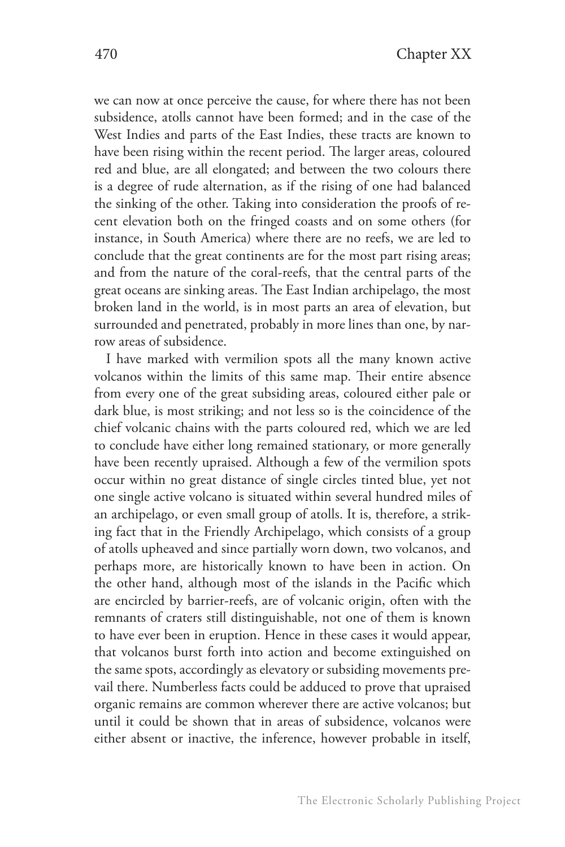we can now at once perceive the cause, for where there has not been subsidence, atolls cannot have been formed; and in the case of the West Indies and parts of the East Indies, these tracts are known to have been rising within the recent period. The larger areas, coloured red and blue, are all elongated; and between the two colours there is a degree of rude alternation, as if the rising of one had balanced the sinking of the other. Taking into consideration the proofs of recent elevation both on the fringed coasts and on some others (for instance, in South America) where there are no reefs, we are led to conclude that the great continents are for the most part rising areas; and from the nature of the coral-reefs, that the central parts of the great oceans are sinking areas. The East Indian archipelago, the most broken land in the world, is in most parts an area of elevation, but surrounded and penetrated, probably in more lines than one, by narrow areas of subsidence.

I have marked with vermilion spots all the many known active volcanos within the limits of this same map. Their entire absence from every one of the great subsiding areas, coloured either pale or dark blue, is most striking; and not less so is the coincidence of the chief volcanic chains with the parts coloured red, which we are led to conclude have either long remained stationary, or more generally have been recently upraised. Although a few of the vermilion spots occur within no great distance of single circles tinted blue, yet not one single active volcano is situated within several hundred miles of an archipelago, or even small group of atolls. It is, therefore, a striking fact that in the Friendly Archipelago, which consists of a group of atolls upheaved and since partially worn down, two volcanos, and perhaps more, are historically known to have been in action. On the other hand, although most of the islands in the Pacific which are encircled by barrier-reefs, are of volcanic origin, often with the remnants of craters still distinguishable, not one of them is known to have ever been in eruption. Hence in these cases it would appear, that volcanos burst forth into action and become extinguished on the same spots, accordingly as elevatory or subsiding movements prevail there. Numberless facts could be adduced to prove that upraised organic remains are common wherever there are active volcanos; but until it could be shown that in areas of subsidence, volcanos were either absent or inactive, the inference, however probable in itself,